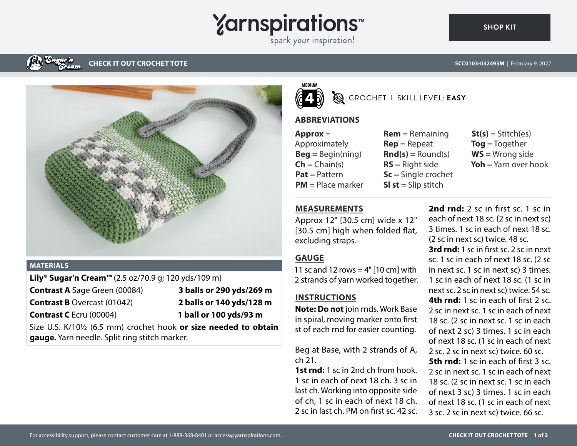# **Yarnspirations**

spark your inspiration!

### **CHECK IT OUT CROCHET TOTE**



#### **MATERIALS**

**Lily® Sugar'n Cream™** (2.5 oz/70.9 g; 120 yds/109 m)

- **Contrast A** Sage Green (00084) **3 balls or 290 yds/269 m**
- 
- **Contrast B** Overcast (01042) **2 balls or 140 yds/128 m Contrast C** Ecru (00004) **1 ball or 100 yds/93 m**

Size U.S. K/10½ (6.5 mm) crochet hook **or size needed to obtain gauge.** Yarn needle. Split ring stitch marker.



### CROCHET I SKILL LEVEL: **EASY**

#### **ABBREVIATIONS**

**Approx** = Approximately  $\textbf{Beg} = \text{Begin}(ning)$  $\mathsf{Ch} = \mathsf{Chain}(s)$ **Pat** = Pattern **PM** = Place marker

- **Rem** = Remaining **Rep** = Repeat  $\text{Rnd}(s) =$  Round(s) **RS** = Right side **Sc** = Single crochet **Sl st** = Slip stitch
- $St(s) = Stitch(es)$ **Tog** = Together **WS** = Wrong side **Yoh** = Yarn over hook

#### **MEASUREMENTS**

Approx 12" [30.5 cm] wide x 12" [30.5 cm] high when folded flat, excluding straps.

#### **GAUGE**

11 sc and 12 rows  $=$  4"  $[10 \text{ cm}]$  with 2 strands of yarn worked together.

## **INSTRUCTIONS**

**Note: Do not** join rnds. Work Base in spiral, moving marker onto first st of each rnd for easier counting.

Beg at Base, with 2 strands of A, ch 21.

**1st rnd:** 1 sc in 2nd ch from hook. 1 sc in each of next 18 ch. 3 sc in last ch. Working into opposite side of ch, 1 sc in each of next 18 ch. 2 sc in last ch. PM on first sc. 42 sc.

2nd rnd: 2 sc in first sc. 1 sc in each of next 18 sc. (2 sc in next sc) 3 times. 1 sc in each of next 18 sc. (2 sc in next sc) twice. 48 sc. **3rd rnd:** 1 sc in first sc. 2 sc in next sc. 1 sc in each of next 18 sc. (2 sc in next sc. 1 sc in next sc) 3 times. 1 sc in each of next 18 sc. (1 sc in next sc. 2 sc in next sc) twice. 54 sc. **4th rnd:** 1 sc in each of first 2 sc. 2 sc in next sc. 1 sc in each of next 18 sc. (2 sc in next sc. 1 sc in each of next 2 sc) 3 times. 1 sc in each of next 18 sc. (1 sc in each of next 2 sc. 2 sc in next sc) twice. 60 sc. **5th rnd:** 1 sc in each of first 3 sc. 2 sc in next sc. 1 sc in each of next 18 sc. (2 sc in next sc. 1 sc in each of next 3 sc) 3 times. 1 sc in each of next 18 sc. (1 sc in each of next 3 sc. 2 sc in next sc) twice. 66 sc.